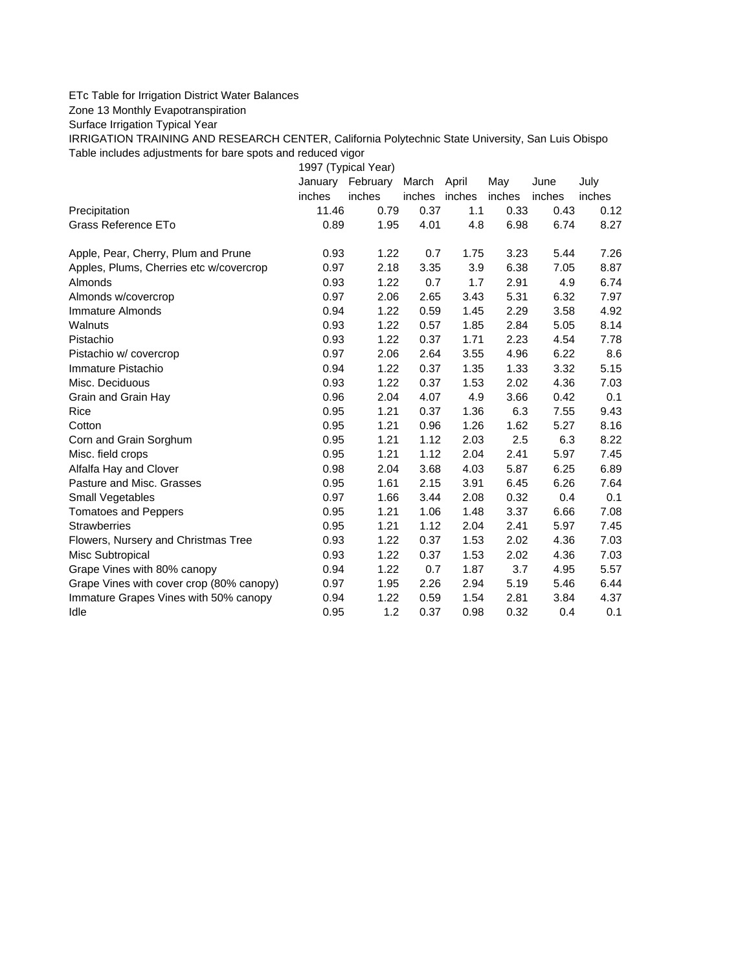## ETc Table for Irrigation District Water Balances

Zone 13 Monthly Evapotranspiration

Surface Irrigation Typical Year

IRRIGATION TRAINING AND RESEARCH CENTER, California Polytechnic State University, San Luis Obispo Table includes adjustments for bare spots and reduced vigor

1997 (Typical Year) January February March April May June July inches inches inches inches inches inches inches Precipitation 11.46 0.79 0.37 1.1 0.33 0.43 0.12 Grass Reference ETo **0.89** 1.95 4.01 4.8 6.98 6.74 8.27 Apple, Pear, Cherry, Plum and Prune 0.93 1.22 0.7 1.75 3.23 5.44 7.26 Apples, Plums, Cherries etc w/covercrop 0.97 2.18 3.35 3.9 6.38 7.05 8.87 Almonds 0.93 1.22 0.7 1.7 2.91 4.9 6.74 Almonds w/covercrop 0.97 2.06 2.65 3.43 5.31 6.32 7.97 Immature Almonds 0.94 1.22 0.59 1.45 2.29 3.58 4.92 Walnuts 0.93 1.22 0.57 1.85 2.84 5.05 8.14 Pistachio 0.93 1.22 0.37 1.71 2.23 4.54 7.78 Pistachio w/ covercrop 0.97 2.06 2.64 3.55 4.96 6.22 8.6 Immature Pistachio 0.94 1.22 0.37 1.35 1.33 3.32 5.15 Misc. Deciduous 0.93 1.22 0.37 1.53 2.02 4.36 7.03 Grain and Grain Hay  $0.96$   $2.04$   $4.07$   $4.9$   $3.66$   $0.42$   $0.1$ Rice 0.95 1.21 0.37 1.36 6.3 7.55 9.43 Cotton 0.95 1.21 0.96 1.26 1.62 5.27 8.16 Corn and Grain Sorghum 0.95 1.21 1.12 2.03 2.5 6.3 8.22 Misc. field crops 0.95 1.21 1.12 2.04 2.41 5.97 7.45 Alfalfa Hay and Clover 0.98 2.04 3.68 4.03 5.87 6.25 6.89 Pasture and Misc. Grasses 0.95 1.61 2.15 3.91 6.45 6.26 7.64 Small Vegetables 0.97 1.66 3.44 2.08 0.32 0.4 0.1 Tomatoes and Peppers 0.95 1.21 1.06 1.48 3.37 6.66 7.08 Strawberries 0.95 1.21 1.12 2.04 2.41 5.97 7.45 Flowers, Nursery and Christmas Tree 0.93 1.22 0.37 1.53 2.02 4.36 7.03 Misc Subtropical 0.93 1.22 0.37 1.53 2.02 4.36 7.03 Grape Vines with 80% canopy  $0.94$   $1.22$   $0.7$   $1.87$   $3.7$   $4.95$   $5.57$ Grape Vines with cover crop (80% canopy) 0.97 1.95 2.26 2.94 5.19 5.46 6.44 Immature Grapes Vines with 50% canopy 0.94 1.22 0.59 1.54 2.81 3.84 4.37 Idle 0.95 1.2 0.37 0.98 0.32 0.4 0.1